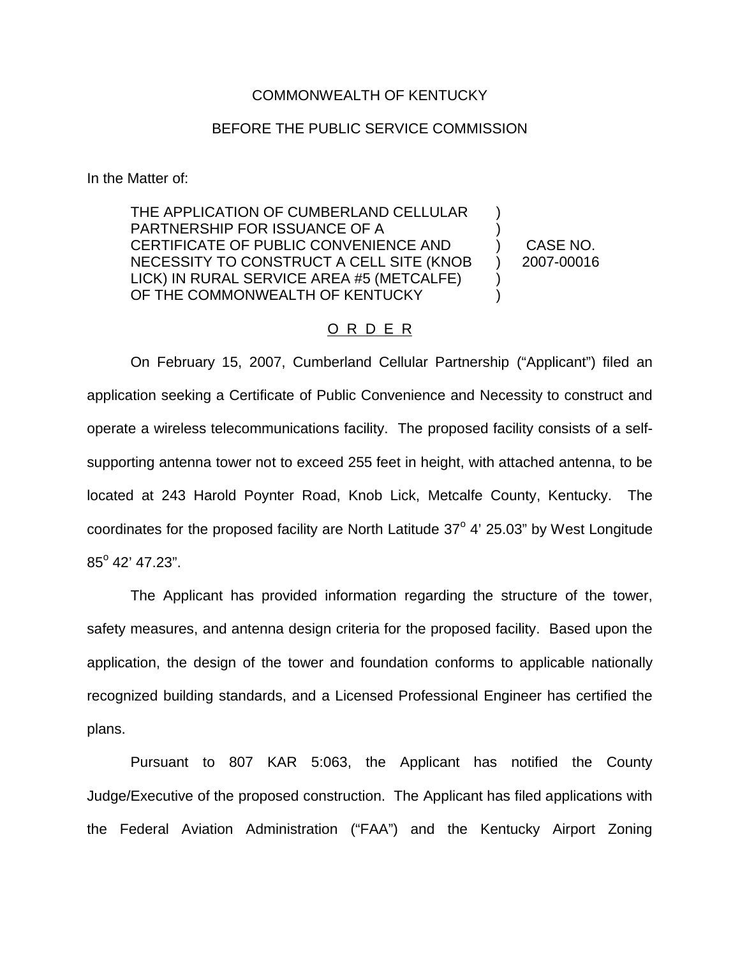## COMMONWEALTH OF KENTUCKY

## BEFORE THE PUBLIC SERVICE COMMISSION

In the Matter of:

THE APPLICATION OF CUMBERLAND CELLULAR PARTNERSHIP FOR ISSUANCE OF A CERTIFICATE OF PUBLIC CONVENIENCE AND NECESSITY TO CONSTRUCT A CELL SITE (KNOB LICK) IN RURAL SERVICE AREA #5 (METCALFE) OF THE COMMONWEALTH OF KENTUCKY ) ) ) ) ) )

CASE NO. 2007-00016

## O R D E R

On February 15, 2007, Cumberland Cellular Partnership ("Applicant") filed an application seeking a Certificate of Public Convenience and Necessity to construct and operate a wireless telecommunications facility. The proposed facility consists of a selfsupporting antenna tower not to exceed 255 feet in height, with attached antenna, to be located at 243 Harold Poynter Road, Knob Lick, Metcalfe County, Kentucky. The coordinates for the proposed facility are North Latitude  $37^{\circ}$  4' 25.03" by West Longitude  $85^{\circ}$  42' 47.23".

The Applicant has provided information regarding the structure of the tower, safety measures, and antenna design criteria for the proposed facility. Based upon the application, the design of the tower and foundation conforms to applicable nationally recognized building standards, and a Licensed Professional Engineer has certified the plans.

Pursuant to 807 KAR 5:063, the Applicant has notified the County Judge/Executive of the proposed construction. The Applicant has filed applications with the Federal Aviation Administration ("FAA") and the Kentucky Airport Zoning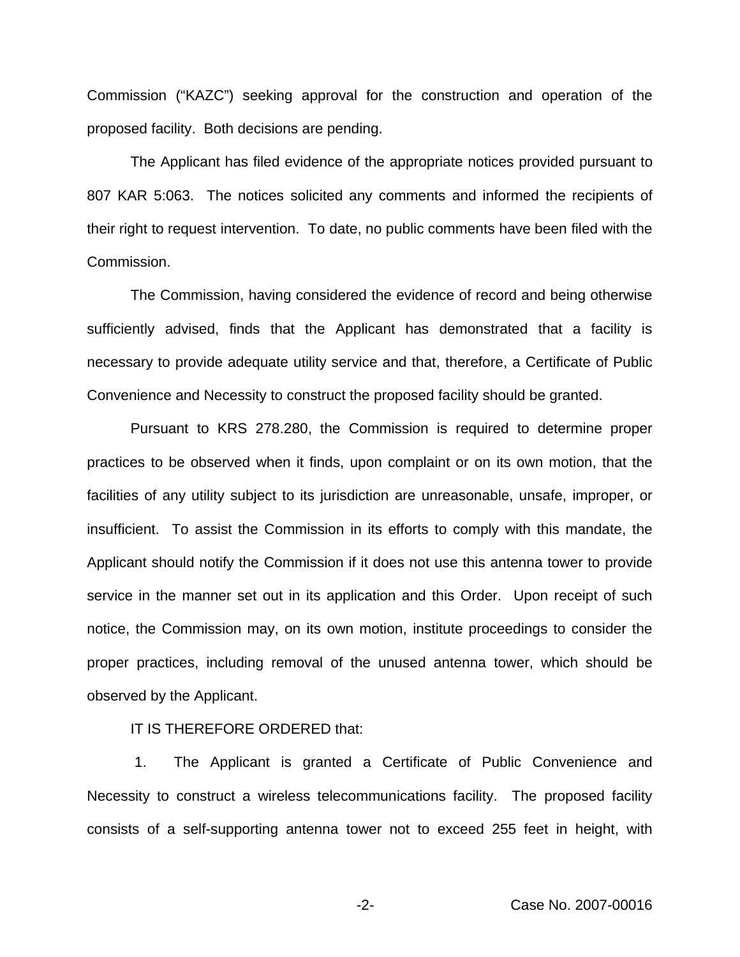Commission ("KAZC") seeking approval for the construction and operation of the proposed facility. Both decisions are pending.

The Applicant has filed evidence of the appropriate notices provided pursuant to 807 KAR 5:063. The notices solicited any comments and informed the recipients of their right to request intervention. To date, no public comments have been filed with the Commission.

The Commission, having considered the evidence of record and being otherwise sufficiently advised, finds that the Applicant has demonstrated that a facility is necessary to provide adequate utility service and that, therefore, a Certificate of Public Convenience and Necessity to construct the proposed facility should be granted.

Pursuant to KRS 278.280, the Commission is required to determine proper practices to be observed when it finds, upon complaint or on its own motion, that the facilities of any utility subject to its jurisdiction are unreasonable, unsafe, improper, or insufficient. To assist the Commission in its efforts to comply with this mandate, the Applicant should notify the Commission if it does not use this antenna tower to provide service in the manner set out in its application and this Order. Upon receipt of such notice, the Commission may, on its own motion, institute proceedings to consider the proper practices, including removal of the unused antenna tower, which should be observed by the Applicant.

IT IS THEREFORE ORDERED that:

1. The Applicant is granted a Certificate of Public Convenience and Necessity to construct a wireless telecommunications facility. The proposed facility consists of a self-supporting antenna tower not to exceed 255 feet in height, with